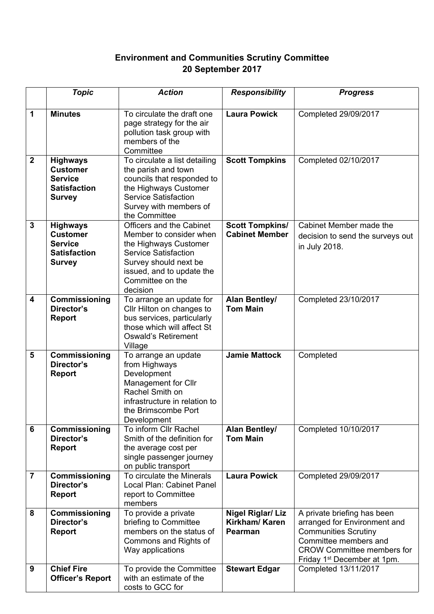## **Environment and Communities Scrutiny Committee 20 September 2017**

|                         | <b>Topic</b>                                                                                 | <b>Action</b>                                                                                                                                                                                     | <b>Responsibility</b>                                | <b>Progress</b>                                                                                                                                                                                     |
|-------------------------|----------------------------------------------------------------------------------------------|---------------------------------------------------------------------------------------------------------------------------------------------------------------------------------------------------|------------------------------------------------------|-----------------------------------------------------------------------------------------------------------------------------------------------------------------------------------------------------|
| $\mathbf 1$             | <b>Minutes</b>                                                                               | To circulate the draft one<br>page strategy for the air<br>pollution task group with<br>members of the<br>Committee                                                                               | <b>Laura Powick</b>                                  | Completed 29/09/2017                                                                                                                                                                                |
| $\overline{2}$          | <b>Highways</b><br><b>Customer</b><br><b>Service</b><br><b>Satisfaction</b><br><b>Survey</b> | To circulate a list detailing<br>the parish and town<br>councils that responded to<br>the Highways Customer<br><b>Service Satisfaction</b><br>Survey with members of<br>the Committee             | <b>Scott Tompkins</b>                                | Completed 02/10/2017                                                                                                                                                                                |
| $\mathbf{3}$            | <b>Highways</b><br><b>Customer</b><br><b>Service</b><br><b>Satisfaction</b><br><b>Survey</b> | Officers and the Cabinet<br>Member to consider when<br>the Highways Customer<br><b>Service Satisfaction</b><br>Survey should next be<br>issued, and to update the<br>Committee on the<br>decision | <b>Scott Tompkins/</b><br><b>Cabinet Member</b>      | Cabinet Member made the<br>decision to send the surveys out<br>in July 2018.                                                                                                                        |
| $\overline{\mathbf{4}}$ | Commissioning<br>Director's<br><b>Report</b>                                                 | To arrange an update for<br>Cllr Hilton on changes to<br>bus services, particularly<br>those which will affect St<br><b>Oswald's Retirement</b><br>Village                                        | <b>Alan Bentley/</b><br><b>Tom Main</b>              | Completed 23/10/2017                                                                                                                                                                                |
| 5                       | Commissioning<br>Director's<br><b>Report</b>                                                 | To arrange an update<br>from Highways<br>Development<br>Management for Cllr<br>Rachel Smith on<br>infrastructure in relation to<br>the Brimscombe Port<br>Development                             | <b>Jamie Mattock</b>                                 | Completed                                                                                                                                                                                           |
| 6                       | Commissioning<br>Director's<br><b>Report</b>                                                 | To inform Cllr Rachel<br>Smith of the definition for<br>the average cost per<br>single passenger journey<br>on public transport                                                                   | <b>Alan Bentley/</b><br><b>Tom Main</b>              | Completed 10/10/2017                                                                                                                                                                                |
| $\overline{7}$          | Commissioning<br>Director's<br><b>Report</b>                                                 | To circulate the Minerals<br>Local Plan: Cabinet Panel<br>report to Committee<br>members                                                                                                          | <b>Laura Powick</b>                                  | Completed 29/09/2017                                                                                                                                                                                |
| 8                       | Commissioning<br>Director's<br><b>Report</b>                                                 | To provide a private<br>briefing to Committee<br>members on the status of<br>Commons and Rights of<br>Way applications                                                                            | <b>Nigel Riglar/ Liz</b><br>Kirkham/Karen<br>Pearman | A private briefing has been<br>arranged for Environment and<br><b>Communities Scrutiny</b><br>Committee members and<br><b>CROW Committee members for</b><br>Friday 1 <sup>st</sup> December at 1pm. |
| 9                       | <b>Chief Fire</b><br><b>Officer's Report</b>                                                 | To provide the Committee<br>with an estimate of the<br>costs to GCC for                                                                                                                           | <b>Stewart Edgar</b>                                 | Completed 13/11/2017                                                                                                                                                                                |